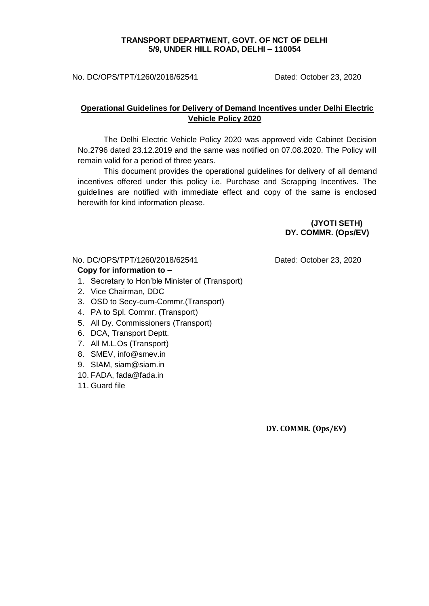#### **TRANSPORT DEPARTMENT, GOVT. OF NCT OF DELHI 5/9, UNDER HILL ROAD, DELHI – 110054**

No. DC/OPS/TPT/1260/2018/62541 Dated: October 23, 2020

## **Operational Guidelines for Delivery of Demand Incentives under Delhi Electric Vehicle Policy 2020**

The Delhi Electric Vehicle Policy 2020 was approved vide Cabinet Decision No.2796 dated 23.12.2019 and the same was notified on 07.08.2020. The Policy will remain valid for a period of three years.

This document provides the operational guidelines for delivery of all demand incentives offered under this policy i.e. Purchase and Scrapping Incentives. The guidelines are notified with immediate effect and copy of the same is enclosed herewith for kind information please.

> **(JYOTI SETH) DY. COMMR. (Ops/EV)**

## No. DC/OPS/TPT/1260/2018/62541 Dated: October 23, 2020

#### **Copy for information to –**

- 1. Secretary to Hon'ble Minister of (Transport)
- 2. Vice Chairman, DDC
- 3. OSD to Secy-cum-Commr.(Transport)
- 4. PA to Spl. Commr. (Transport)
- 5. All Dy. Commissioners (Transport)
- 6. DCA, Transport Deptt.
- 7. All M.L.Os (Transport)
- 8. SMEV, [info@smev.in](mailto:info@smev.in)
- 9. SIAM, [siam@siam.in](mailto:siam@siam.in)
- 10. FADA, [fada@fada.in](mailto:fada@fada.in)
- 11. Guard file

 **DY. COMMR. (Ops/EV)**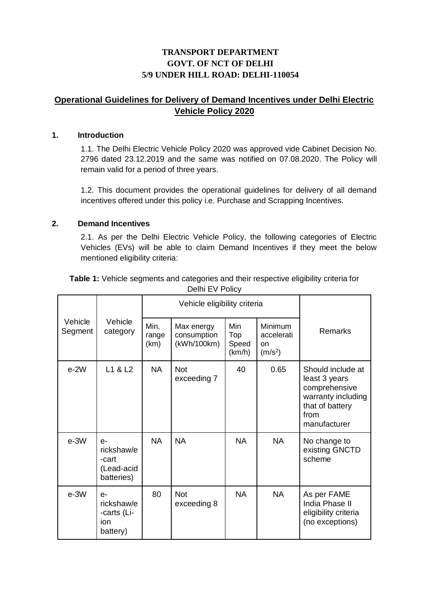# **TRANSPORT DEPARTMENT GOVT. OF NCT OF DELHI 5/9 UNDER HILL ROAD: DELHI-110054**

# **Operational Guidelines for Delivery of Demand Incentives under Delhi Electric Vehicle Policy 2020**

#### **1. Introduction**

1.1. The Delhi Electric Vehicle Policy 2020 was approved vide Cabinet Decision No. 2796 dated 23.12.2019 and the same was notified on 07.08.2020. The Policy will remain valid for a period of three years.

1.2. This document provides the operational guidelines for delivery of all demand incentives offered under this policy i.e. Purchase and Scrapping Incentives.

#### **2. Demand Incentives**

2.1. As per the Delhi Electric Vehicle Policy, the following categories of Electric Vehicles (EVs) will be able to claim Demand Incentives if they meet the below mentioned eligibility criteria:

**Table 1:** Vehicle segments and categories and their respective eligibility criteria for Delhi EV Policy

|                    |                                                         |                       | Vehicle eligibility criteria             |                                      |                                                            |                                                                                                                      |  |
|--------------------|---------------------------------------------------------|-----------------------|------------------------------------------|--------------------------------------|------------------------------------------------------------|----------------------------------------------------------------------------------------------------------------------|--|
| Vehicle<br>Segment | Vehicle<br>category                                     | Min.<br>range<br>(km) | Max energy<br>consumption<br>(kWh/100km) | <b>Min</b><br>Top<br>Speed<br>(km/h) | <b>Minimum</b><br>accelerati<br>on.<br>(m/s <sup>2</sup> ) | Remarks                                                                                                              |  |
| $e-2W$             | L1 & L2                                                 | <b>NA</b>             | <b>Not</b><br>exceeding 7                | 40                                   | 0.65                                                       | Should include at<br>least 3 years<br>comprehensive<br>warranty including<br>that of battery<br>from<br>manufacturer |  |
| $e-3W$             | $e-$<br>rickshaw/e<br>-cart<br>(Lead-acid<br>batteries) | <b>NA</b>             | <b>NA</b>                                | <b>NA</b>                            | <b>NA</b>                                                  | No change to<br>existing GNCTD<br>scheme                                                                             |  |
| $e-3W$             | $e-$<br>rickshaw/e<br>-carts (Li-<br>ion<br>battery)    | 80                    | <b>Not</b><br>exceeding 8                | <b>NA</b>                            | <b>NA</b>                                                  | As per FAME<br>India Phase II<br>eligibility criteria<br>(no exceptions)                                             |  |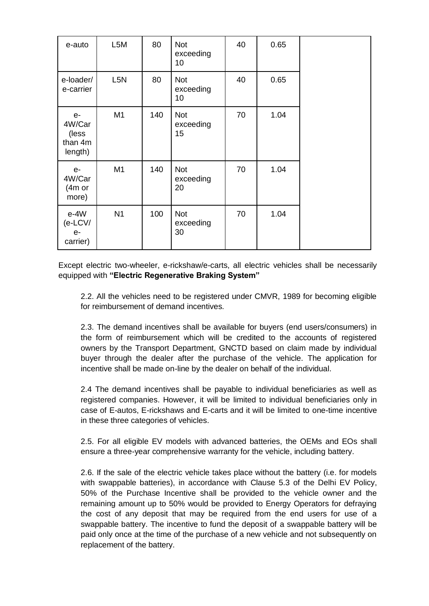| e-auto                                        | L5M              | 80  | <b>Not</b><br>exceeding<br>10 | 40 | 0.65 |  |
|-----------------------------------------------|------------------|-----|-------------------------------|----|------|--|
| e-loader/<br>e-carrier                        | L <sub>5</sub> N | 80  | <b>Not</b><br>exceeding<br>10 | 40 | 0.65 |  |
| $e-$<br>4W/Car<br>(less<br>than 4m<br>length) | M1               | 140 | <b>Not</b><br>exceeding<br>15 | 70 | 1.04 |  |
| $e-$<br>4W/Car<br>$(4m \text{ or }$<br>more)  | M1               | 140 | <b>Not</b><br>exceeding<br>20 | 70 | 1.04 |  |
| $e-4W$<br>$(e$ -LCV/<br>$e-$<br>carrier)      | N <sub>1</sub>   | 100 | <b>Not</b><br>exceeding<br>30 | 70 | 1.04 |  |

Except electric two-wheeler, e-rickshaw/e-carts, all electric vehicles shall be necessarily equipped with **"Electric Regenerative Braking System"**

2.2. All the vehicles need to be registered under CMVR, 1989 for becoming eligible for reimbursement of demand incentives.

2.3. The demand incentives shall be available for buyers (end users/consumers) in the form of reimbursement which will be credited to the accounts of registered owners by the Transport Department, GNCTD based on claim made by individual buyer through the dealer after the purchase of the vehicle. The application for incentive shall be made on-line by the dealer on behalf of the individual.

2.4 The demand incentives shall be payable to individual beneficiaries as well as registered companies. However, it will be limited to individual beneficiaries only in case of E-autos, E-rickshaws and E-carts and it will be limited to one-time incentive in these three categories of vehicles.

2.5. For all eligible EV models with advanced batteries, the OEMs and EOs shall ensure a three-year comprehensive warranty for the vehicle, including battery.

2.6. If the sale of the electric vehicle takes place without the battery (i.e. for models with swappable batteries), in accordance with Clause 5.3 of the Delhi EV Policy, 50% of the Purchase Incentive shall be provided to the vehicle owner and the remaining amount up to 50% would be provided to Energy Operators for defraying the cost of any deposit that may be required from the end users for use of a swappable battery. The incentive to fund the deposit of a swappable battery will be paid only once at the time of the purchase of a new vehicle and not subsequently on replacement of the battery.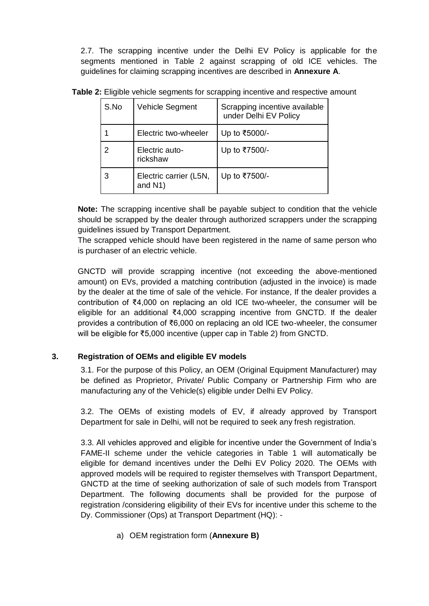2.7. The scrapping incentive under the Delhi EV Policy is applicable for the segments mentioned in Table 2 against scrapping of old ICE vehicles. The guidelines for claiming scrapping incentives are described in **Annexure A**.

| S.No | Vehicle Segment                                | Scrapping incentive available<br>under Delhi EV Policy |
|------|------------------------------------------------|--------------------------------------------------------|
|      | Electric two-wheeler                           | Up to ₹5000/-                                          |
|      | Electric auto-<br>rickshaw                     | Up to ₹7500/-                                          |
|      | Electric carrier (L5N,<br>and N <sub>1</sub> ) | Up to ₹7500/-                                          |

**Table 2:** Eligible vehicle segments for scrapping incentive and respective amount

**Note:** The scrapping incentive shall be payable subject to condition that the vehicle should be scrapped by the dealer through authorized scrappers under the scrapping guidelines issued by Transport Department.

The scrapped vehicle should have been registered in the name of same person who is purchaser of an electric vehicle.

GNCTD will provide scrapping incentive (not exceeding the above-mentioned amount) on EVs, provided a matching contribution (adjusted in the invoice) is made by the dealer at the time of sale of the vehicle. For instance, If the dealer provides a contribution of ₹4,000 on replacing an old ICE two-wheeler, the consumer will be eligible for an additional ₹4,000 scrapping incentive from GNCTD. If the dealer provides a contribution of ₹6,000 on replacing an old ICE two-wheeler, the consumer will be eligible for ₹5,000 incentive (upper cap in Table 2) from GNCTD.

# **3. Registration of OEMs and eligible EV models**

3.1. For the purpose of this Policy, an OEM (Original Equipment Manufacturer) may be defined as Proprietor, Private/ Public Company or Partnership Firm who are manufacturing any of the Vehicle(s) eligible under Delhi EV Policy.

3.2. The OEMs of existing models of EV, if already approved by Transport Department for sale in Delhi, will not be required to seek any fresh registration.

3.3. All vehicles approved and eligible for incentive under the Government of India's FAME-II scheme under the vehicle categories in Table 1 will automatically be eligible for demand incentives under the Delhi EV Policy 2020. The OEMs with approved models will be required to register themselves with Transport Department, GNCTD at the time of seeking authorization of sale of such models from Transport Department. The following documents shall be provided for the purpose of registration /considering eligibility of their EVs for incentive under this scheme to the Dy. Commissioner (Ops) at Transport Department (HQ): -

a) OEM registration form (**Annexure B)**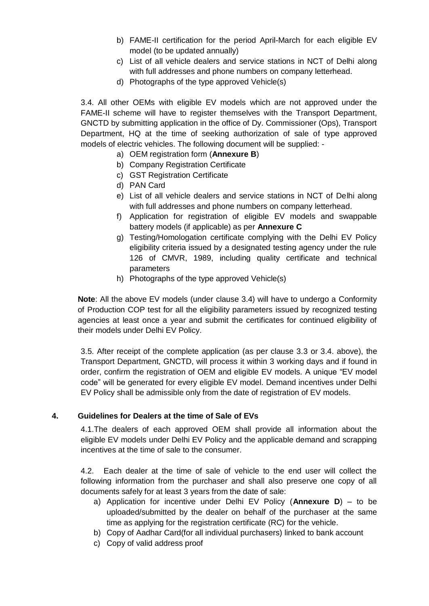- b) FAME-II certification for the period April-March for each eligible EV model (to be updated annually)
- c) List of all vehicle dealers and service stations in NCT of Delhi along with full addresses and phone numbers on company letterhead.
- d) Photographs of the type approved Vehicle(s)

3.4. All other OEMs with eligible EV models which are not approved under the FAME-II scheme will have to register themselves with the Transport Department, GNCTD by submitting application in the office of Dy. Commissioner (Ops), Transport Department, HQ at the time of seeking authorization of sale of type approved models of electric vehicles. The following document will be supplied: -

- a) OEM registration form (**Annexure B**)
- b) Company Registration Certificate
- c) GST Registration Certificate
- d) PAN Card
- e) List of all vehicle dealers and service stations in NCT of Delhi along with full addresses and phone numbers on company letterhead.
- f) Application for registration of eligible EV models and swappable battery models (if applicable) as per **Annexure C**
- g) Testing/Homologation certificate complying with the Delhi EV Policy eligibility criteria issued by a designated testing agency under the rule 126 of CMVR, 1989, including quality certificate and technical parameters
- h) Photographs of the type approved Vehicle(s)

**Note**: All the above EV models (under clause 3.4) will have to undergo a Conformity of Production COP test for all the eligibility parameters issued by recognized testing agencies at least once a year and submit the certificates for continued eligibility of their models under Delhi EV Policy.

3.5. After receipt of the complete application (as per clause 3.3 or 3.4. above), the Transport Department, GNCTD, will process it within 3 working days and if found in order, confirm the registration of OEM and eligible EV models. A unique "EV model code" will be generated for every eligible EV model. Demand incentives under Delhi EV Policy shall be admissible only from the date of registration of EV models.

# **4. Guidelines for Dealers at the time of Sale of EVs**

4.1.The dealers of each approved OEM shall provide all information about the eligible EV models under Delhi EV Policy and the applicable demand and scrapping incentives at the time of sale to the consumer.

4.2. Each dealer at the time of sale of vehicle to the end user will collect the following information from the purchaser and shall also preserve one copy of all documents safely for at least 3 years from the date of sale:

- a) Application for incentive under Delhi EV Policy (**Annexure D**) to be uploaded/submitted by the dealer on behalf of the purchaser at the same time as applying for the registration certificate (RC) for the vehicle.
- b) Copy of Aadhar Card(for all individual purchasers) linked to bank account
- c) Copy of valid address proof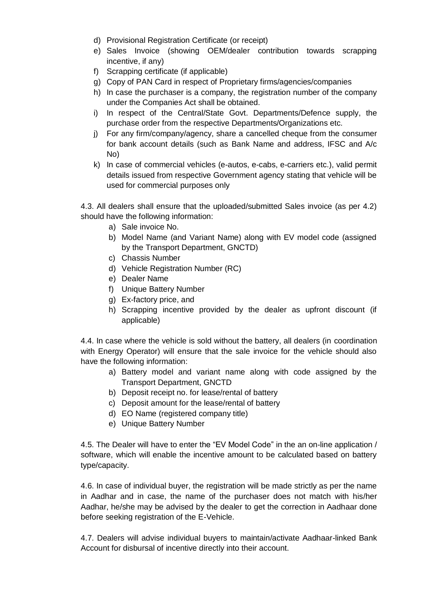- d) Provisional Registration Certificate (or receipt)
- e) Sales Invoice (showing OEM/dealer contribution towards scrapping incentive, if any)
- f) Scrapping certificate (if applicable)
- g) Copy of PAN Card in respect of Proprietary firms/agencies/companies
- h) In case the purchaser is a company, the registration number of the company under the Companies Act shall be obtained.
- i) In respect of the Central/State Govt. Departments/Defence supply, the purchase order from the respective Departments/Organizations etc.
- j) For any firm/company/agency, share a cancelled cheque from the consumer for bank account details (such as Bank Name and address, IFSC and A/c No)
- k) In case of commercial vehicles (e-autos, e-cabs, e-carriers etc.), valid permit details issued from respective Government agency stating that vehicle will be used for commercial purposes only

4.3. All dealers shall ensure that the uploaded/submitted Sales invoice (as per 4.2) should have the following information:

- a) Sale invoice No.
- b) Model Name (and Variant Name) along with EV model code (assigned by the Transport Department, GNCTD)
- c) Chassis Number
- d) Vehicle Registration Number (RC)
- e) Dealer Name
- f) Unique Battery Number
- g) Ex-factory price, and
- h) Scrapping incentive provided by the dealer as upfront discount (if applicable)

4.4. In case where the vehicle is sold without the battery, all dealers (in coordination with Energy Operator) will ensure that the sale invoice for the vehicle should also have the following information:

- a) Battery model and variant name along with code assigned by the Transport Department, GNCTD
- b) Deposit receipt no. for lease/rental of battery
- c) Deposit amount for the lease/rental of battery
- d) EO Name (registered company title)
- e) Unique Battery Number

4.5. The Dealer will have to enter the "EV Model Code" in the an on-line application / software, which will enable the incentive amount to be calculated based on battery type/capacity.

4.6. In case of individual buyer, the registration will be made strictly as per the name in Aadhar and in case, the name of the purchaser does not match with his/her Aadhar, he/she may be advised by the dealer to get the correction in Aadhaar done before seeking registration of the E-Vehicle.

4.7. Dealers will advise individual buyers to maintain/activate Aadhaar-linked Bank Account for disbursal of incentive directly into their account.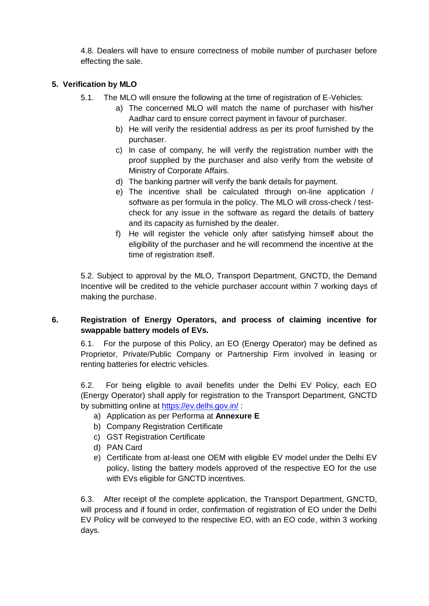4.8. Dealers will have to ensure correctness of mobile number of purchaser before effecting the sale.

# **5. Verification by MLO**

- 5.1. The MLO will ensure the following at the time of registration of E-Vehicles:
	- a) The concerned MLO will match the name of purchaser with his/her Aadhar card to ensure correct payment in favour of purchaser.
		- b) He will verify the residential address as per its proof furnished by the purchaser.
	- c) In case of company, he will verify the registration number with the proof supplied by the purchaser and also verify from the website of Ministry of Corporate Affairs.
	- d) The banking partner will verify the bank details for payment.
	- e) The incentive shall be calculated through on-line application / software as per formula in the policy. The MLO will cross-check / testcheck for any issue in the software as regard the details of battery and its capacity as furnished by the dealer.
	- f) He will register the vehicle only after satisfying himself about the eligibility of the purchaser and he will recommend the incentive at the time of registration itself.

5.2. Subject to approval by the MLO, Transport Department, GNCTD, the Demand Incentive will be credited to the vehicle purchaser account within 7 working days of making the purchase.

# **6. Registration of Energy Operators, and process of claiming incentive for swappable battery models of EVs.**

6.1. For the purpose of this Policy, an EO (Energy Operator) may be defined as Proprietor, Private/Public Company or Partnership Firm involved in leasing or renting batteries for electric vehicles.

6.2. For being eligible to avail benefits under the Delhi EV Policy, each EO (Energy Operator) shall apply for registration to the Transport Department, GNCTD by submitting online at<https://ev.delhi.gov.in/> :

- a) Application as per Performa at **Annexure E**
- b) Company Registration Certificate
- c) GST Registration Certificate
- d) PAN Card
- e) Certificate from at-least one OEM with eligible EV model under the Delhi EV policy, listing the battery models approved of the respective EO for the use with EVs eligible for GNCTD incentives.

6.3. After receipt of the complete application, the Transport Department, GNCTD, will process and if found in order, confirmation of registration of EO under the Delhi EV Policy will be conveyed to the respective EO, with an EO code, within 3 working days.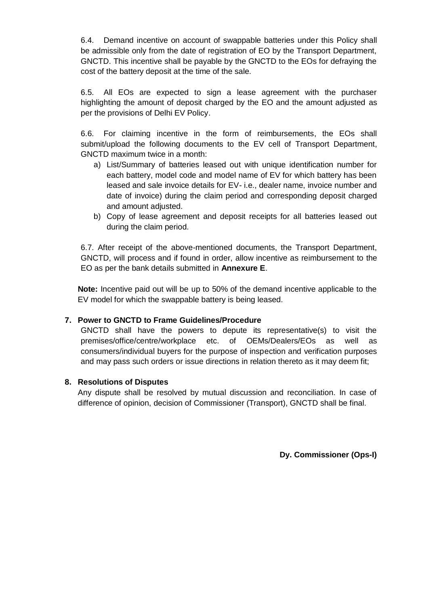6.4. Demand incentive on account of swappable batteries under this Policy shall be admissible only from the date of registration of EO by the Transport Department, GNCTD. This incentive shall be payable by the GNCTD to the EOs for defraying the cost of the battery deposit at the time of the sale.

6.5. All EOs are expected to sign a lease agreement with the purchaser highlighting the amount of deposit charged by the EO and the amount adjusted as per the provisions of Delhi EV Policy.

6.6. For claiming incentive in the form of reimbursements, the EOs shall submit/upload the following documents to the EV cell of Transport Department, GNCTD maximum twice in a month:

- a) List/Summary of batteries leased out with unique identification number for each battery, model code and model name of EV for which battery has been leased and sale invoice details for EV- i.e., dealer name, invoice number and date of invoice) during the claim period and corresponding deposit charged and amount adjusted.
- b) Copy of lease agreement and deposit receipts for all batteries leased out during the claim period.

6.7. After receipt of the above-mentioned documents, the Transport Department, GNCTD, will process and if found in order, allow incentive as reimbursement to the EO as per the bank details submitted in **Annexure E**.

**Note:** Incentive paid out will be up to 50% of the demand incentive applicable to the EV model for which the swappable battery is being leased.

# **7. Power to GNCTD to Frame Guidelines/Procedure**

GNCTD shall have the powers to depute its representative(s) to visit the premises/office/centre/workplace etc. of OEMs/Dealers/EOs as well as consumers/individual buyers for the purpose of inspection and verification purposes and may pass such orders or issue directions in relation thereto as it may deem fit;

#### **8. Resolutions of Disputes**

Any dispute shall be resolved by mutual discussion and reconciliation. In case of difference of opinion, decision of Commissioner (Transport), GNCTD shall be final.

**Dy. Commissioner (Ops-I)**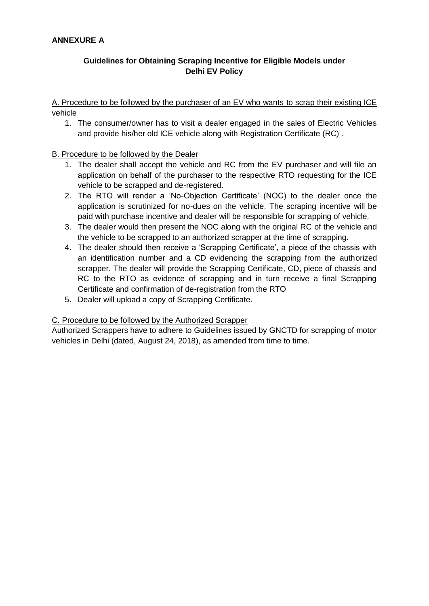# **Guidelines for Obtaining Scraping Incentive for Eligible Models under Delhi EV Policy**

A. Procedure to be followed by the purchaser of an EV who wants to scrap their existing ICE vehicle

1. The consumer/owner has to visit a dealer engaged in the sales of Electric Vehicles and provide his/her old ICE vehicle along with Registration Certificate (RC) .

# B. Procedure to be followed by the Dealer

- 1. The dealer shall accept the vehicle and RC from the EV purchaser and will file an application on behalf of the purchaser to the respective RTO requesting for the ICE vehicle to be scrapped and de-registered.
- 2. The RTO will render a 'No-Objection Certificate' (NOC) to the dealer once the application is scrutinized for no-dues on the vehicle. The scraping incentive will be paid with purchase incentive and dealer will be responsible for scrapping of vehicle.
- 3. The dealer would then present the NOC along with the original RC of the vehicle and the vehicle to be scrapped to an authorized scrapper at the time of scrapping.
- 4. The dealer should then receive a 'Scrapping Certificate', a piece of the chassis with an identification number and a CD evidencing the scrapping from the authorized scrapper. The dealer will provide the Scrapping Certificate, CD, piece of chassis and RC to the RTO as evidence of scrapping and in turn receive a final Scrapping Certificate and confirmation of de-registration from the RTO
- 5. Dealer will upload a copy of Scrapping Certificate.

#### C. Procedure to be followed by the Authorized Scrapper

Authorized Scrappers have to adhere to Guidelines issued by GNCTD for scrapping of motor vehicles in Delhi (dated, August 24, 2018), as amended from time to time.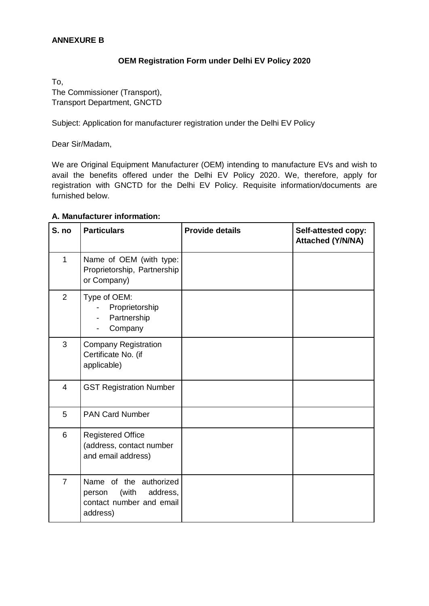## **ANNEXURE B**

### **OEM Registration Form under Delhi EV Policy 2020**

To, The Commissioner (Transport), Transport Department, GNCTD

Subject: Application for manufacturer registration under the Delhi EV Policy

Dear Sir/Madam,

We are Original Equipment Manufacturer (OEM) intending to manufacture EVs and wish to avail the benefits offered under the Delhi EV Policy 2020. We, therefore, apply for registration with GNCTD for the Delhi EV Policy. Requisite information/documents are furnished below.

| S. no          | <b>Particulars</b>                                                                            | <b>Provide details</b> | Self-attested copy:<br><b>Attached (Y/N/NA)</b> |
|----------------|-----------------------------------------------------------------------------------------------|------------------------|-------------------------------------------------|
| $\mathbf{1}$   | Name of OEM (with type:<br>Proprietorship, Partnership<br>or Company)                         |                        |                                                 |
| $\overline{2}$ | Type of OEM:<br>Proprietorship<br>Partnership<br>Company                                      |                        |                                                 |
| 3              | <b>Company Registration</b><br>Certificate No. (if<br>applicable)                             |                        |                                                 |
| $\overline{4}$ | <b>GST Registration Number</b>                                                                |                        |                                                 |
| 5              | <b>PAN Card Number</b>                                                                        |                        |                                                 |
| 6              | <b>Registered Office</b><br>(address, contact number<br>and email address)                    |                        |                                                 |
| $\overline{7}$ | Name of the authorized<br>(with<br>address,<br>person<br>contact number and email<br>address) |                        |                                                 |

#### **A. Manufacturer information:**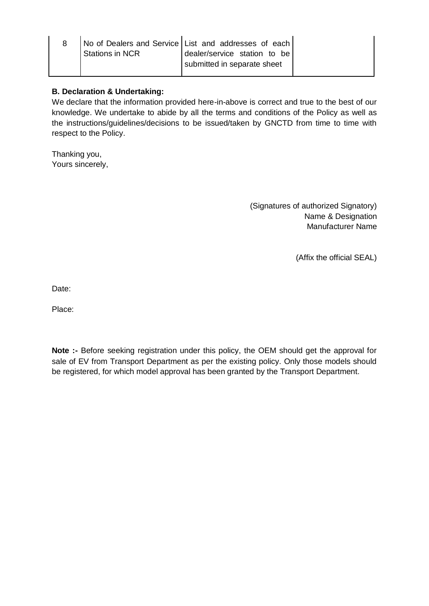| <b>Stations in NCR</b> | No of Dealers and Service List and addresses of each<br>dealer/service station to be |
|------------------------|--------------------------------------------------------------------------------------|
|                        | submitted in separate sheet                                                          |

## **B. Declaration & Undertaking:**

We declare that the information provided here-in-above is correct and true to the best of our knowledge. We undertake to abide by all the terms and conditions of the Policy as well as the instructions/guidelines/decisions to be issued/taken by GNCTD from time to time with respect to the Policy.

Thanking you, Yours sincerely,

> (Signatures of authorized Signatory) Name & Designation Manufacturer Name

> > (Affix the official SEAL)

Date:

Place:

**Note :-** Before seeking registration under this policy, the OEM should get the approval for sale of EV from Transport Department as per the existing policy. Only those models should be registered, for which model approval has been granted by the Transport Department.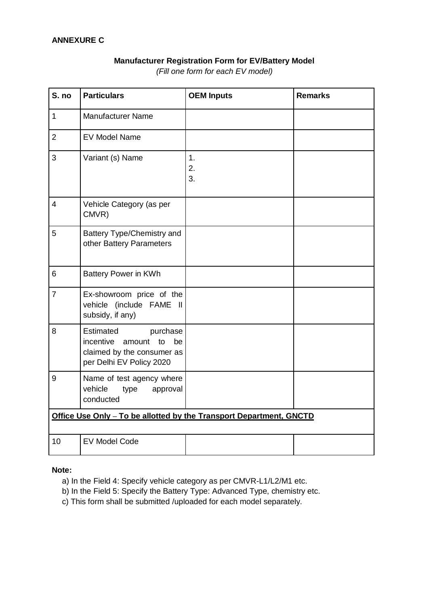### **ANNEXURE C**

# **Manufacturer Registration Form for EV/Battery Model**

S. no **Particulars COEM Inputs Remarks** 1 Manufacturer Name 2 EV Model Name  $3$  Variant (s) Name 1. 2. 3. 4 Vehicle Category (as per CMVR) 5 Battery Type/Chemistry and other Battery Parameters 6 Battery Power in KWh 7 Ex-showroom price of the vehicle (include FAME II subsidy, if any) 8 Estimated purchase incentive amount to be claimed by the consumer as per Delhi EV Policy 2020 9 Name of test agency where vehicle type approval conducted **Office Use Only – To be allotted by the Transport Department, GNCTD** 10 EV Model Code

*(Fill one form for each EV model)*

#### **Note:**

- a) In the Field 4: Specify vehicle category as per CMVR-L1/L2/M1 etc.
- b) In the Field 5: Specify the Battery Type: Advanced Type, chemistry etc.
- c) This form shall be submitted /uploaded for each model separately.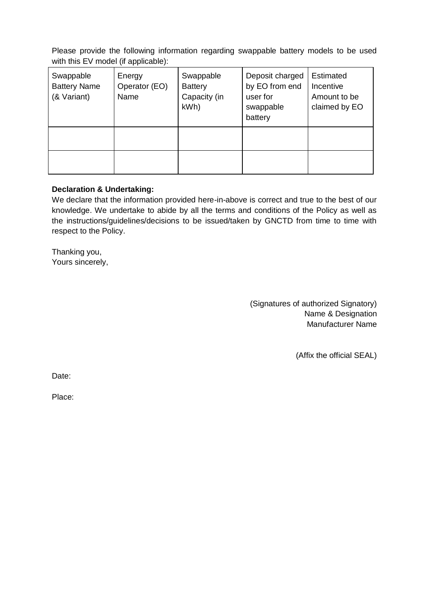Please provide the following information regarding swappable battery models to be used with this EV model (if applicable):

| Swappable<br><b>Battery Name</b><br>(& Variant) | Energy<br>Operator (EO)<br>Name | Swappable<br><b>Battery</b><br>Capacity (in<br>kWh) | Deposit charged<br>by EO from end<br>user for<br>swappable<br>battery | Estimated<br>Incentive<br>Amount to be<br>claimed by EO |
|-------------------------------------------------|---------------------------------|-----------------------------------------------------|-----------------------------------------------------------------------|---------------------------------------------------------|
|                                                 |                                 |                                                     |                                                                       |                                                         |
|                                                 |                                 |                                                     |                                                                       |                                                         |

### **Declaration & Undertaking:**

We declare that the information provided here-in-above is correct and true to the best of our knowledge. We undertake to abide by all the terms and conditions of the Policy as well as the instructions/guidelines/decisions to be issued/taken by GNCTD from time to time with respect to the Policy.

Thanking you, Yours sincerely,

> (Signatures of authorized Signatory) Name & Designation Manufacturer Name

> > (Affix the official SEAL)

Date:

Place: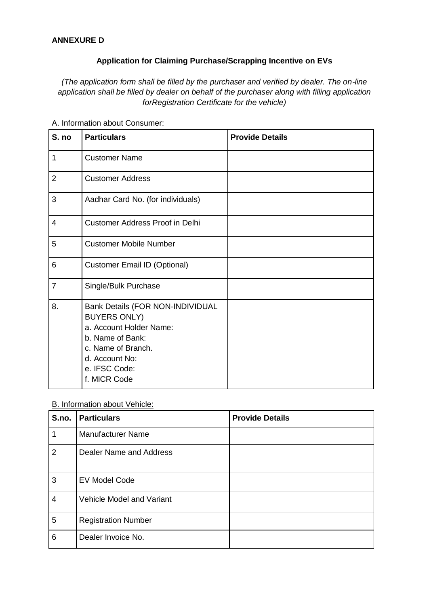## **ANNEXURE D**

#### **Application for Claiming Purchase/Scrapping Incentive on EVs**

*(The application form shall be filled by the purchaser and verified by dealer. The on-line application shall be filled by dealer on behalf of the purchaser along with filling application forRegistration Certificate for the vehicle)*

| S. no          | <b>Particulars</b>                                                                                                                                                                     | <b>Provide Details</b> |
|----------------|----------------------------------------------------------------------------------------------------------------------------------------------------------------------------------------|------------------------|
| 1              | <b>Customer Name</b>                                                                                                                                                                   |                        |
| $\overline{2}$ | <b>Customer Address</b>                                                                                                                                                                |                        |
| 3              | Aadhar Card No. (for individuals)                                                                                                                                                      |                        |
| 4              | <b>Customer Address Proof in Delhi</b>                                                                                                                                                 |                        |
| 5              | <b>Customer Mobile Number</b>                                                                                                                                                          |                        |
| 6              | <b>Customer Email ID (Optional)</b>                                                                                                                                                    |                        |
| $\overline{7}$ | Single/Bulk Purchase                                                                                                                                                                   |                        |
| 8.             | <b>Bank Details (FOR NON-INDIVIDUAL</b><br><b>BUYERS ONLY)</b><br>a. Account Holder Name:<br>b. Name of Bank:<br>c. Name of Branch.<br>d. Account No:<br>e. IFSC Code:<br>f. MICR Code |                        |

A. Information about Consumer:

#### B. Information about Vehicle:

| S.no.          | <b>Particulars</b>         | <b>Provide Details</b> |
|----------------|----------------------------|------------------------|
| 1              | <b>Manufacturer Name</b>   |                        |
| $\overline{2}$ | Dealer Name and Address    |                        |
| $\overline{3}$ | <b>EV Model Code</b>       |                        |
| $\overline{4}$ | Vehicle Model and Variant  |                        |
| $\overline{5}$ | <b>Registration Number</b> |                        |
| 6              | Dealer Invoice No.         |                        |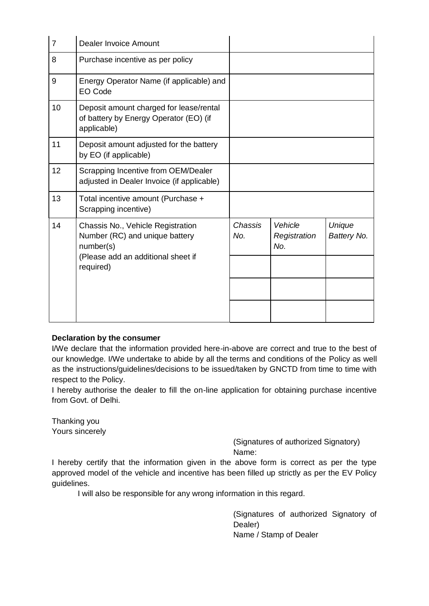| $\overline{7}$ | Dealer Invoice Amount                                                                                                               |                |                                |                       |
|----------------|-------------------------------------------------------------------------------------------------------------------------------------|----------------|--------------------------------|-----------------------|
| 8              | Purchase incentive as per policy                                                                                                    |                |                                |                       |
| 9              | Energy Operator Name (if applicable) and<br><b>EO Code</b>                                                                          |                |                                |                       |
| 10             | Deposit amount charged for lease/rental<br>of battery by Energy Operator (EO) (if<br>applicable)                                    |                |                                |                       |
| 11             | Deposit amount adjusted for the battery<br>by EO (if applicable)                                                                    |                |                                |                       |
| 12             | Scrapping Incentive from OEM/Dealer<br>adjusted in Dealer Invoice (if applicable)                                                   |                |                                |                       |
| 13             | Total incentive amount (Purchase +<br>Scrapping incentive)                                                                          |                |                                |                       |
| 14             | Chassis No., Vehicle Registration<br>Number (RC) and unique battery<br>number(s)<br>(Please add an additional sheet if<br>required) | Chassis<br>No. | Vehicle<br>Registration<br>No. | Unique<br>Battery No. |
|                |                                                                                                                                     |                |                                |                       |
|                |                                                                                                                                     |                |                                |                       |

#### **Declaration by the consumer**

I/We declare that the information provided here-in-above are correct and true to the best of our knowledge. I/We undertake to abide by all the terms and conditions of the Policy as well as the instructions/guidelines/decisions to be issued/taken by GNCTD from time to time with respect to the Policy.

I hereby authorise the dealer to fill the on-line application for obtaining purchase incentive from Govt. of Delhi.

Thanking you Yours sincerely

(Signatures of authorized Signatory) Name:

I hereby certify that the information given in the above form is correct as per the type approved model of the vehicle and incentive has been filled up strictly as per the EV Policy guidelines.

I will also be responsible for any wrong information in this regard.

(Signatures of authorized Signatory of Dealer) Name / Stamp of Dealer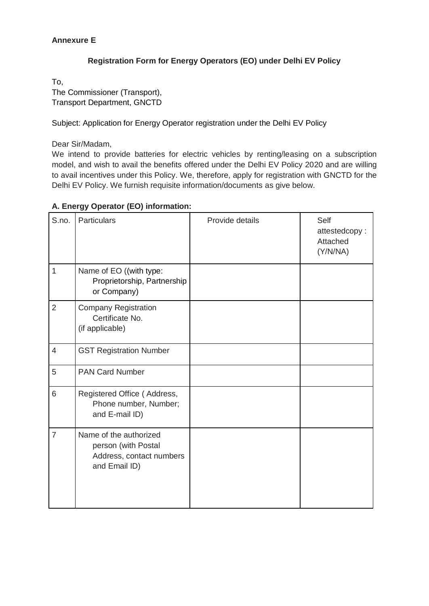# **Annexure E**

# **Registration Form for Energy Operators (EO) under Delhi EV Policy**

To, The Commissioner (Transport), Transport Department, GNCTD

Subject: Application for Energy Operator registration under the Delhi EV Policy

Dear Sir/Madam,

We intend to provide batteries for electric vehicles by renting/leasing on a subscription model, and wish to avail the benefits offered under the Delhi EV Policy 2020 and are willing to avail incentives under this Policy. We, therefore, apply for registration with GNCTD for the Delhi EV Policy. We furnish requisite information/documents as give below.

| S.no.                    | <b>Particulars</b>                                                                         | Provide details | Self<br>attestedcopy:<br>Attached<br>(Y/N/NA) |
|--------------------------|--------------------------------------------------------------------------------------------|-----------------|-----------------------------------------------|
| $\mathbf{1}$             | Name of EO ((with type:<br>Proprietorship, Partnership<br>or Company)                      |                 |                                               |
| $\overline{2}$           | <b>Company Registration</b><br>Certificate No.<br>(if applicable)                          |                 |                                               |
| $\overline{\mathcal{L}}$ | <b>GST Registration Number</b>                                                             |                 |                                               |
| 5                        | <b>PAN Card Number</b>                                                                     |                 |                                               |
| 6                        | Registered Office (Address,<br>Phone number, Number;<br>and E-mail ID)                     |                 |                                               |
| $\overline{7}$           | Name of the authorized<br>person (with Postal<br>Address, contact numbers<br>and Email ID) |                 |                                               |

# **A. Energy Operator (EO) information:**